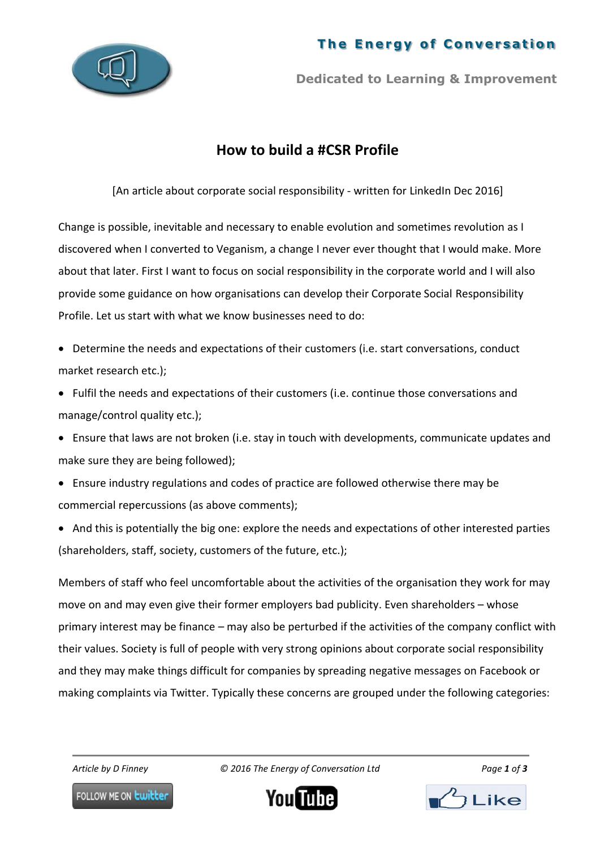## **The Energy of Conversation**



**Dedicated to Learning & Improvement**

## **How to build a #CSR Profile**

[An article about corporate social responsibility - written for LinkedIn Dec 2016]

Change is possible, inevitable and necessary to enable evolution and sometimes revolution as I discovered when I converted to Veganism, a change I never ever thought that I would make. More about that later. First I want to focus on social responsibility in the corporate world and I will also provide some guidance on how organisations can develop their Corporate Social Responsibility Profile. Let us start with what we know businesses need to do:

- Determine the needs and expectations of their customers (i.e. start conversations, conduct market research etc.);
- Fulfil the needs and expectations of their customers (i.e. continue those conversations and manage/control quality etc.);
- Ensure that laws are not broken (i.e. stay in touch with developments, communicate updates and make sure they are being followed);
- Ensure industry regulations and codes of practice are followed otherwise there may be commercial repercussions (as above comments);
- And this is potentially the big one: explore the needs and expectations of other interested parties (shareholders, staff, society, customers of the future, etc.);

Members of staff who feel uncomfortable about the activities of the organisation they work for may move on and may even give their former employers bad publicity. Even shareholders – whose primary interest may be finance – may also be perturbed if the activities of the company conflict with their values. Society is full of people with very strong opinions about corporate social responsibility and they may make things difficult for companies by spreading negative messages on Facebook or making complaints via Twitter. Typically these concerns are grouped under the following categories:

*Article by D Finney © 2016 The Energy of Conversation Ltd Page 1 of 3*

FOLLOW ME ON **Lwitter** 



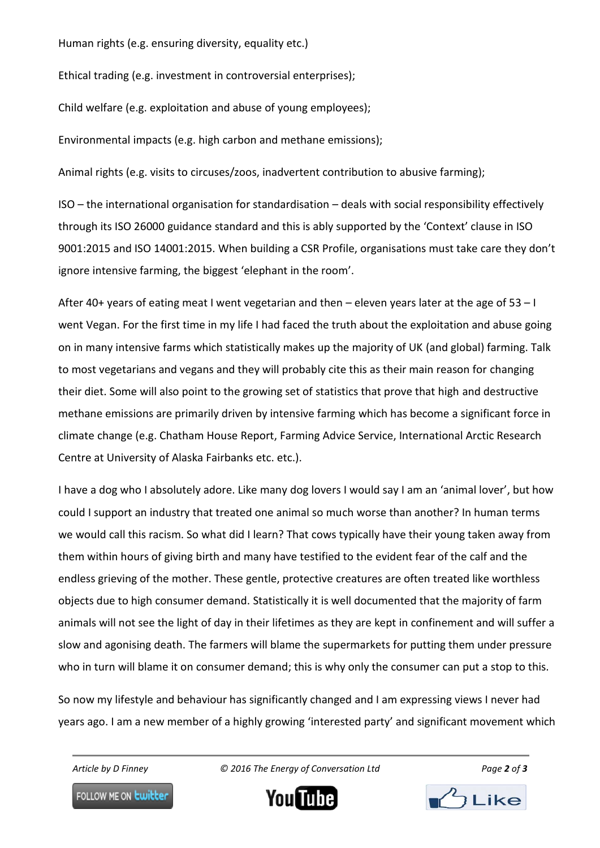Human rights (e.g. ensuring diversity, equality etc.)

Ethical trading (e.g. investment in controversial enterprises);

Child welfare (e.g. exploitation and abuse of young employees);

Environmental impacts (e.g. high carbon and methane emissions);

Animal rights (e.g. visits to circuses/zoos, inadvertent contribution to abusive farming);

ISO – the international organisation for standardisation – deals with social responsibility effectively through its ISO 26000 guidance standard and this is ably supported by the 'Context' clause in ISO 9001:2015 and ISO 14001:2015. When building a CSR Profile, organisations must take care they don't ignore intensive farming, the biggest 'elephant in the room'.

After 40+ years of eating meat I went vegetarian and then – eleven years later at the age of 53 – I went Vegan. For the first time in my life I had faced the truth about the exploitation and abuse going on in many intensive farms which statistically makes up the majority of UK (and global) farming. Talk to most vegetarians and vegans and they will probably cite this as their main reason for changing their diet. Some will also point to the growing set of statistics that prove that high and destructive methane emissions are primarily driven by intensive farming which has become a significant force in climate change (e.g. Chatham House Report, Farming Advice Service, International Arctic Research Centre at University of Alaska Fairbanks etc. etc.).

I have a dog who I absolutely adore. Like many dog lovers I would say I am an 'animal lover', but how could I support an industry that treated one animal so much worse than another? In human terms we would call this racism. So what did I learn? That cows typically have their young taken away from them within hours of giving birth and many have testified to the evident fear of the calf and the endless grieving of the mother. These gentle, protective creatures are often treated like worthless objects due to high consumer demand. Statistically it is well documented that the majority of farm animals will not see the light of day in their lifetimes as they are kept in confinement and will suffer a slow and agonising death. The farmers will blame the supermarkets for putting them under pressure who in turn will blame it on consumer demand; this is why only the consumer can put a stop to this.

So now my lifestyle and behaviour has significantly changed and I am expressing views I never had years ago. I am a new member of a highly growing 'interested party' and significant movement which

*Article by D Finney © 2016 The Energy of Conversation Ltd Page 2 of 3*

FOLLOW ME ON **Lwitter**